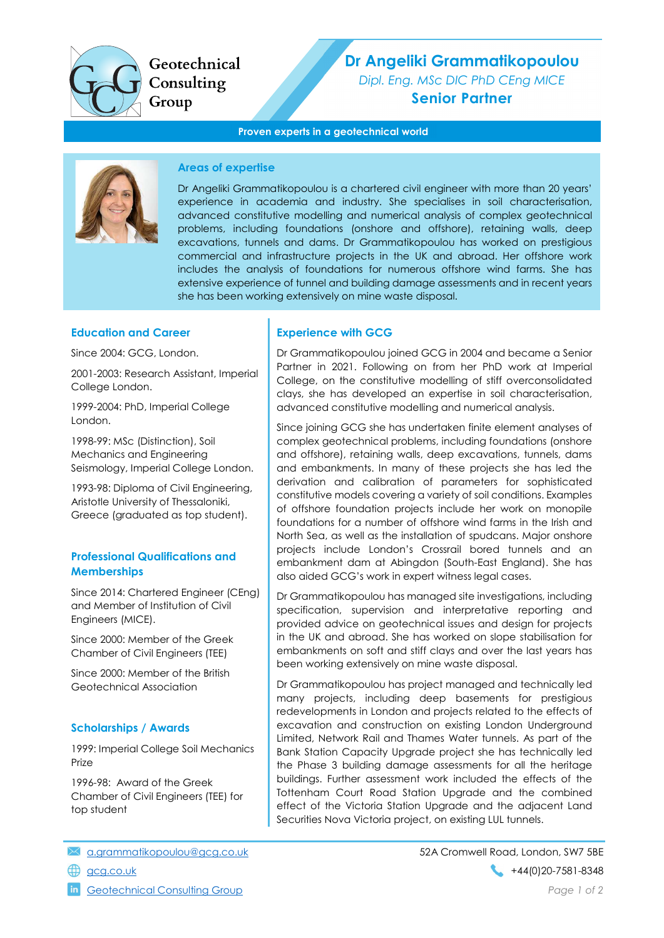

Geotechnical Consulting Group

# Dr Angeliki Grammatikopoulou

Dipl. Eng. MSc DIC PhD CEng MICE Senior Partner

#### Proven experts in a geotechnical world



## Areas of expertise

Dr Angeliki Grammatikopoulou is a chartered civil engineer with more than 20 years' experience in academia and industry. She specialises in soil characterisation, advanced constitutive modelling and numerical analysis of complex geotechnical problems, including foundations (onshore and offshore), retaining walls, deep excavations, tunnels and dams. Dr Grammatikopoulou has worked on prestigious commercial and infrastructure projects in the UK and abroad. Her offshore work includes the analysis of foundations for numerous offshore wind farms. She has extensive experience of tunnel and building damage assessments and in recent years she has been working extensively on mine waste disposal.

## Education and Career

Since 2004: GCG, London.

2001-2003: Research Assistant, Imperial College London.

1999-2004: PhD, Imperial College London.

1998-99: MSc (Distinction), Soil Mechanics and Engineering Seismology, Imperial College London.

1993-98: Diploma of Civil Engineering, Aristotle University of Thessaloniki, Greece (graduated as top student).

# Professional Qualifications and **Memberships**

Since 2014: Chartered Engineer (CEng) and Member of Institution of Civil Engineers (MICE).

Since 2000: Member of the Greek Chamber of Civil Engineers (TEE)

Since 2000: Member of the British Geotechnical Association

## Scholarships / Awards

1999: Imperial College Soil Mechanics Prize

1996-98: Award of the Greek Chamber of Civil Engineers (TEE) for top student

# Experience with GCG

Dr Grammatikopoulou joined GCG in 2004 and became a Senior Partner in 2021. Following on from her PhD work at Imperial College, on the constitutive modelling of stiff overconsolidated clays, she has developed an expertise in soil characterisation, advanced constitutive modelling and numerical analysis.

Since joining GCG she has undertaken finite element analyses of complex geotechnical problems, including foundations (onshore and offshore), retaining walls, deep excavations, tunnels, dams and embankments. In many of these projects she has led the derivation and calibration of parameters for sophisticated constitutive models covering a variety of soil conditions. Examples of offshore foundation projects include her work on monopile foundations for a number of offshore wind farms in the Irish and North Sea, as well as the installation of spudcans. Major onshore projects include London's Crossrail bored tunnels and an embankment dam at Abingdon (South-East England). She has also aided GCG's work in expert witness legal cases.

Dr Grammatikopoulou has managed site investigations, including specification, supervision and interpretative reporting and provided advice on geotechnical issues and design for projects in the UK and abroad. She has worked on slope stabilisation for embankments on soft and stiff clays and over the last years has been working extensively on mine waste disposal.

Dr Grammatikopoulou has project managed and technically led many projects, including deep basements for prestigious redevelopments in London and projects related to the effects of excavation and construction on existing London Underground Limited, Network Rail and Thames Water tunnels. As part of the Bank Station Capacity Upgrade project she has technically led the Phase 3 building damage assessments for all the heritage buildings. Further assessment work included the effects of the Tottenham Court Road Station Upgrade and the combined effect of the Victoria Station Upgrade and the adjacent Land Securities Nova Victoria project, on existing LUL tunnels.

- a.grammatikopoulou@gcg.co.uk 52A Cromwell Road, London, SW7 5BE
-